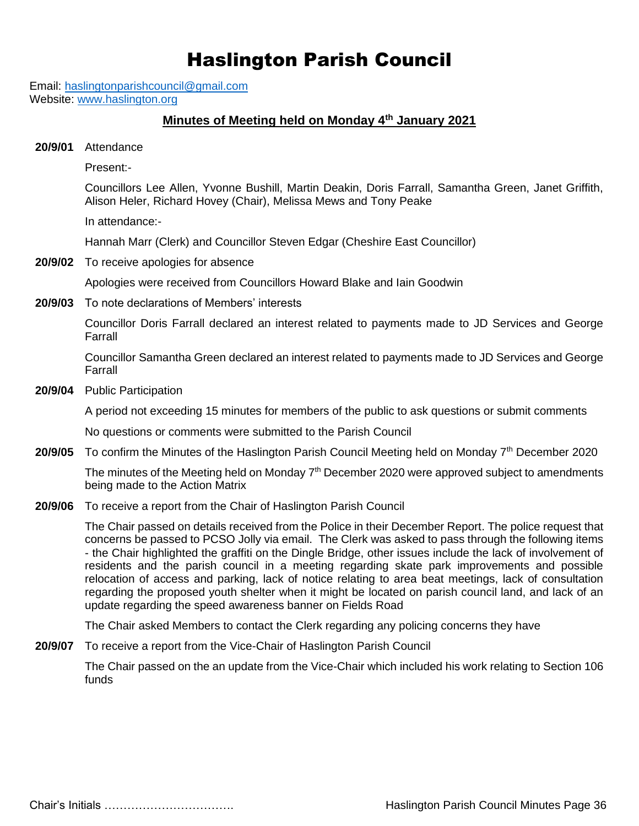# Haslington Parish Council

Email: [haslingtonparishcouncil@gmail.com](mailto:haslingtonparishcouncil@gmail.com) Website: [www.haslington.org](http://www.haslington.org/)

#### **Minutes of Meeting held on Monday 4th January 2021**

**20/9/01** Attendance

Present:-

Councillors Lee Allen, Yvonne Bushill, Martin Deakin, Doris Farrall, Samantha Green, Janet Griffith, Alison Heler, Richard Hovey (Chair), Melissa Mews and Tony Peake

In attendance:-

Hannah Marr (Clerk) and Councillor Steven Edgar (Cheshire East Councillor)

**20/9/02** To receive apologies for absence

Apologies were received from Councillors Howard Blake and Iain Goodwin

**20/9/03** To note declarations of Members' interests

Councillor Doris Farrall declared an interest related to payments made to JD Services and George Farrall

Councillor Samantha Green declared an interest related to payments made to JD Services and George Farrall

**20/9/04** Public Participation

A period not exceeding 15 minutes for members of the public to ask questions or submit comments

No questions or comments were submitted to the Parish Council

20/9/05 To confirm the Minutes of the Haslington Parish Council Meeting held on Monday 7<sup>th</sup> December 2020

The minutes of the Meeting held on Monday  $7<sup>th</sup>$  December 2020 were approved subject to amendments being made to the Action Matrix

**20/9/06** To receive a report from the Chair of Haslington Parish Council

The Chair passed on details received from the Police in their December Report. The police request that concerns be passed to PCSO Jolly via email. The Clerk was asked to pass through the following items - the Chair highlighted the graffiti on the Dingle Bridge, other issues include the lack of involvement of residents and the parish council in a meeting regarding skate park improvements and possible relocation of access and parking, lack of notice relating to area beat meetings, lack of consultation regarding the proposed youth shelter when it might be located on parish council land, and lack of an update regarding the speed awareness banner on Fields Road

The Chair asked Members to contact the Clerk regarding any policing concerns they have

**20/9/07** To receive a report from the Vice-Chair of Haslington Parish Council

The Chair passed on the an update from the Vice-Chair which included his work relating to Section 106 funds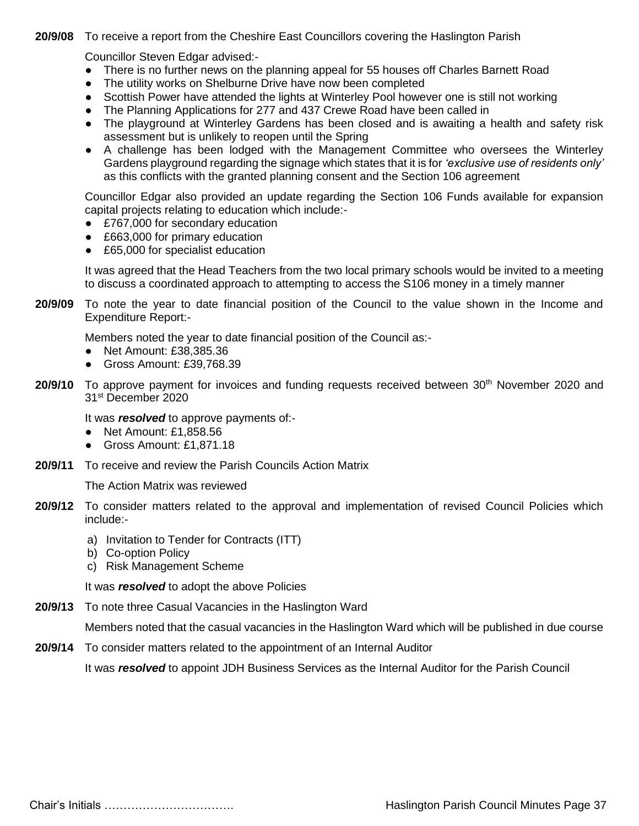**20/9/08** To receive a report from the Cheshire East Councillors covering the Haslington Parish

Councillor Steven Edgar advised:-

- There is no further news on the planning appeal for 55 houses off Charles Barnett Road
- The utility works on Shelburne Drive have now been completed
- Scottish Power have attended the lights at Winterley Pool however one is still not working
- The Planning Applications for 277 and 437 Crewe Road have been called in
- The playground at Winterley Gardens has been closed and is awaiting a health and safety risk assessment but is unlikely to reopen until the Spring
- A challenge has been lodged with the Management Committee who oversees the Winterley Gardens playground regarding the signage which states that it is for *'exclusive use of residents only'*  as this conflicts with the granted planning consent and the Section 106 agreement

Councillor Edgar also provided an update regarding the Section 106 Funds available for expansion capital projects relating to education which include:-

- £767,000 for secondary education
- £663,000 for primary education
- £65,000 for specialist education

It was agreed that the Head Teachers from the two local primary schools would be invited to a meeting to discuss a coordinated approach to attempting to access the S106 money in a timely manner

**20/9/09** To note the year to date financial position of the Council to the value shown in the Income and Expenditure Report:-

Members noted the year to date financial position of the Council as:-

- Net Amount: £38,385.36
- Gross Amount: £39,768.39
- 20/9/10 To approve payment for invoices and funding requests received between 30<sup>th</sup> November 2020 and 31st December 2020

It was *resolved* to approve payments of:-

- Net Amount: £1,858.56
- Gross Amount: £1,871.18
- **20/9/11** To receive and review the Parish Councils Action Matrix

The Action Matrix was reviewed

- **20/9/12** To consider matters related to the approval and implementation of revised Council Policies which include:
	- a) Invitation to Tender for Contracts (ITT)
	- b) Co-option Policy
	- c) Risk Management Scheme

It was *resolved* to adopt the above Policies

**20/9/13** To note three Casual Vacancies in the Haslington Ward

Members noted that the casual vacancies in the Haslington Ward which will be published in due course

**20/9/14** To consider matters related to the appointment of an Internal Auditor

It was *resolved* to appoint JDH Business Services as the Internal Auditor for the Parish Council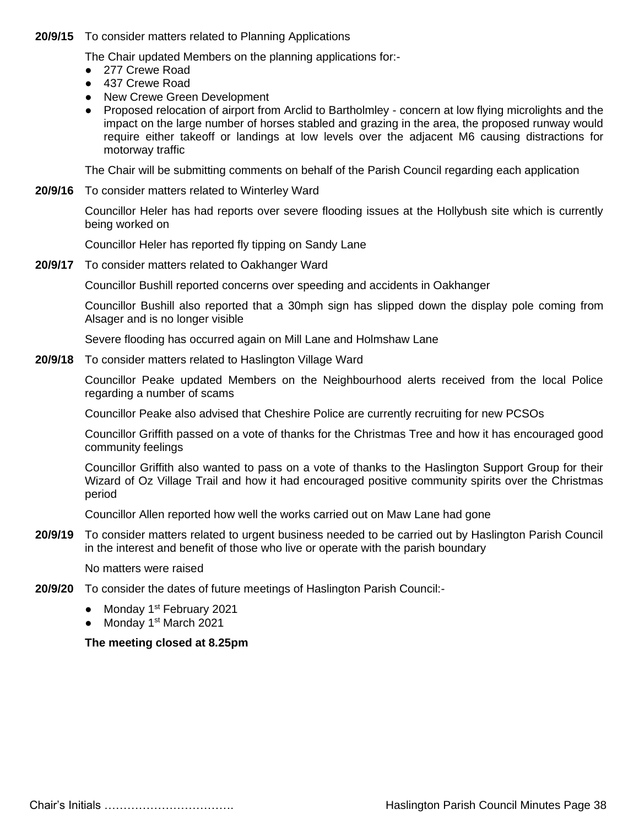#### **20/9/15** To consider matters related to Planning Applications

The Chair updated Members on the planning applications for:-

- 277 Crewe Road
- 437 Crewe Road
- New Crewe Green Development
- Proposed relocation of airport from Arclid to Bartholmley concern at low flying microlights and the impact on the large number of horses stabled and grazing in the area, the proposed runway would require either takeoff or landings at low levels over the adjacent M6 causing distractions for motorway traffic

The Chair will be submitting comments on behalf of the Parish Council regarding each application

**20/9/16** To consider matters related to Winterley Ward

Councillor Heler has had reports over severe flooding issues at the Hollybush site which is currently being worked on

Councillor Heler has reported fly tipping on Sandy Lane

**20/9/17** To consider matters related to Oakhanger Ward

Councillor Bushill reported concerns over speeding and accidents in Oakhanger

Councillor Bushill also reported that a 30mph sign has slipped down the display pole coming from Alsager and is no longer visible

Severe flooding has occurred again on Mill Lane and Holmshaw Lane

**20/9/18** To consider matters related to Haslington Village Ward

Councillor Peake updated Members on the Neighbourhood alerts received from the local Police regarding a number of scams

Councillor Peake also advised that Cheshire Police are currently recruiting for new PCSOs

Councillor Griffith passed on a vote of thanks for the Christmas Tree and how it has encouraged good community feelings

Councillor Griffith also wanted to pass on a vote of thanks to the Haslington Support Group for their Wizard of Oz Village Trail and how it had encouraged positive community spirits over the Christmas period

Councillor Allen reported how well the works carried out on Maw Lane had gone

**20/9/19** To consider matters related to urgent business needed to be carried out by Haslington Parish Council in the interest and benefit of those who live or operate with the parish boundary

No matters were raised

- **20/9/20** To consider the dates of future meetings of Haslington Parish Council:-
	- Monday 1<sup>st</sup> February 2021
	- Monday 1<sup>st</sup> March 2021

#### **The meeting closed at 8.25pm**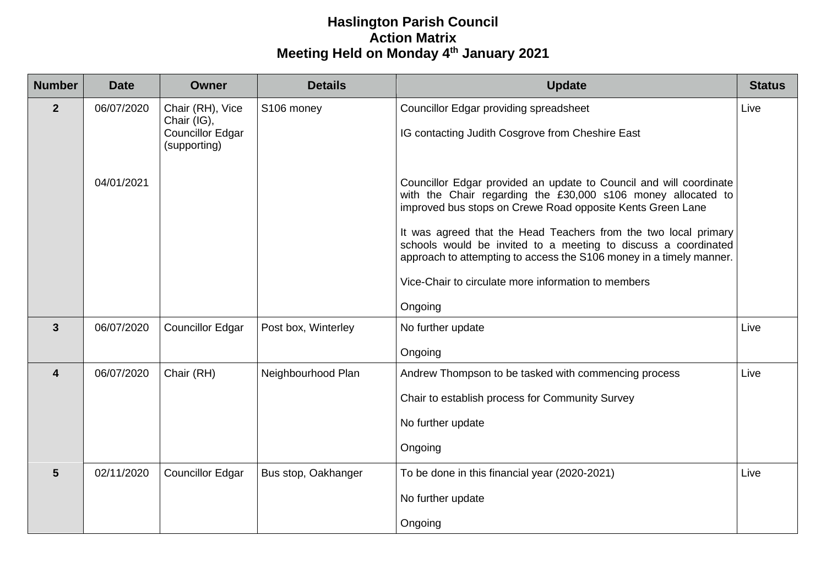## **Haslington Parish Council Action Matrix Meeting Held on Monday 4th January 2021**

| <b>Number</b>           | <b>Date</b> | <b>Owner</b>                                                               | <b>Details</b>      | <b>Update</b>                                                                                                                                                                                                                                                                                                                                                                                                                                                                  | <b>Status</b> |
|-------------------------|-------------|----------------------------------------------------------------------------|---------------------|--------------------------------------------------------------------------------------------------------------------------------------------------------------------------------------------------------------------------------------------------------------------------------------------------------------------------------------------------------------------------------------------------------------------------------------------------------------------------------|---------------|
| $\overline{2}$          | 06/07/2020  | Chair (RH), Vice<br>Chair (IG),<br><b>Councillor Edgar</b><br>(supporting) | S106 money          | <b>Councillor Edgar providing spreadsheet</b><br>IG contacting Judith Cosgrove from Cheshire East                                                                                                                                                                                                                                                                                                                                                                              | Live          |
|                         | 04/01/2021  |                                                                            |                     | Councillor Edgar provided an update to Council and will coordinate<br>with the Chair regarding the £30,000 s106 money allocated to<br>improved bus stops on Crewe Road opposite Kents Green Lane<br>It was agreed that the Head Teachers from the two local primary<br>schools would be invited to a meeting to discuss a coordinated<br>approach to attempting to access the S106 money in a timely manner.<br>Vice-Chair to circulate more information to members<br>Ongoing |               |
| $\mathbf{3}$            | 06/07/2020  | <b>Councillor Edgar</b>                                                    | Post box, Winterley | No further update<br>Ongoing                                                                                                                                                                                                                                                                                                                                                                                                                                                   | Live          |
| $\overline{\mathbf{4}}$ | 06/07/2020  | Chair (RH)                                                                 | Neighbourhood Plan  | Andrew Thompson to be tasked with commencing process<br>Chair to establish process for Community Survey<br>No further update<br>Ongoing                                                                                                                                                                                                                                                                                                                                        | Live          |
| $5\phantom{1}$          | 02/11/2020  | <b>Councillor Edgar</b>                                                    | Bus stop, Oakhanger | To be done in this financial year (2020-2021)<br>No further update<br>Ongoing                                                                                                                                                                                                                                                                                                                                                                                                  | Live          |